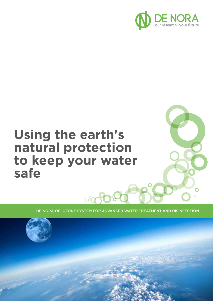

 $\bigcap$ 

# **Using the earth's natural protection to keep your water safe**

DE NORA OEI OZONE SYSTEM FOR ADVANCED WATER TREATMENT AND DISINFECTION



8000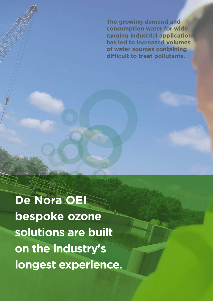**The growing demand and consumption water for wide ranging industrial applications has led to increased volumes of water sources containing difficult to treat pollutants.**

**De Nora OEI bespoke ozone solutions are built on the industry's longest experience.**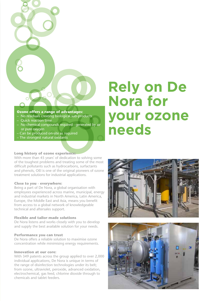

# **Ozone offers a range of advantages:**

- No residuals creating biological sub-products
- Quick reaction time
- No chemical compounds required generated by air or pure oxygen
- Can be produced on-site as required
- The strongest natural oxidants

# **Rely on De Nora for your ozone needs**

# **Long history of ozone experience:**

With more than 45 years' of dedication to solving some of the toughest problems and treating some of the most difficult pollutants such as hydrocarbons, surfactants and phenols, OEI is one of the original pioneers of ozone treatment solutions for industrial applications.

#### **Close to you - everywhere:**

Being a part of De Nora, a global organisation with employees experienced across marine, municipal, energy and industrial markets in North America, Latin America, Europe, the Middle East and Asia, means you benefit from access to a global network of knowledgeable technical and aftersales support.

# **Flexible and tailor-made solutions**

De Nora listens and works closely with you to develop and supply the best available solution for your needs.

# **Performance you can trust**

De Nora offers a reliable solution to maximise ozone concentration while minimising energy requirements.

# **Innovation at our core:**

With 349 patents across the group applied to over 2,000 individual applications, De Nora is unique in terms of the range of disinfection technologies under its belt; from ozone, ultraviolet, peroxide, advanced oxidation, electrochemical, gas feed, chlorine dioxide through to chemicals and tablet feeders.



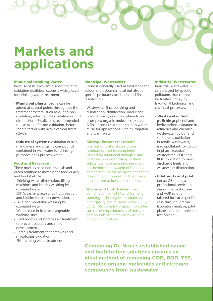# **Markets and applications**

#### **Municipal Drinking Water**

Because of its excellent disinfection and oxidation qualities, ozone is widely used for drinking water treatment.

- **Municipal plants**: ozone can be added at several points throughout the treatment system, such as during preoxidation, intermediate oxidation or final disinfection. Usually, it is recommended to use ozone for pre-oxidation, before sand filters or with active carbon filters  $(CAC)$ .
- **Industrial systems**: oxidation of iron, manganese and organic compounds contained in well water for drinking purposes or as process water.

#### **Food and Beverage**

These markets need non-residuals and green solutions to increase the food quality and food shelf life.

- Drinking water disinfection, filling machines and bottles washing by ozonated water.
- CIP (clean in place) circuit disinfection and biofilm formation prevention.
- Fruit and vegetable washing by ozonated water.
- Water teuse in fruit and vegetable washing lines.
- Cold rooms and storages air treatment to prevent bacteria and mold development.
- Cereals treatment for aflatoxins and mycotoxins oxidation.
- Fish farming water treatment.

#### **Municipal Wastewater**

Ozone is generally used as final stage for colour and odour removal but also for specific pollutants oxidation and final disinfection.

- Wastewater final polishing and disinfection: disinfection, odour and color removal, cyanides, phenols and ccomplex organic molecules oxidation. A final ozone treatment enables water reuse for applications such as irrigation and wash-water.

- **Micropollutant treatment**: pharmaceutical and agriculture residuals cannot be completely treated by traditional biological and chemical processes. Many of these substances have an endocrine effect on the hormonal system of humans and animals. These so-called endocrine disrupting compounds (EDCs) have an impact even at low concentrations.

- **Ozone and Biofiltration**: the combination of TETRA and OEI long standing technologies to obtain an high quality and reusable water. COD, BOD, TSS, complex organic molecules such as micropollutants and nitrogen compounds are removed by a single final polishing stage.

#### **Industrial Wastewater**

Industrial wastewater is caracterized by specific pollutants that cannot be treated simply by traditional biological and chemical processes.

- **Wastewater final polishing:** phenol and hydrocarbon oxidation in refineries and chemical wastewater, colour and surfactants oxidation in textile wastewater, micropollutants oxidation in pharmaceutical wastewater, COD and BOD oxidation to meet discharge limits and wastewater disinfection.
- **Pilot units and pilot tests:** OEI offers a professional service to design the best ozone and AOP solution tailored for each specific case through internal laboratory analysis, pilot plants, and pilot units for test on-site.

**Combining De Nora's established ozone and biofiltration solutions ensures an ideal method of removing COD, BOD, TSS, complex organic molecules and nitrogen compounds from wastewater**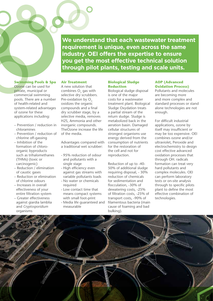**We understand that each wastewater treatment requirement is unique, even across the same industry. OEI offers the expertise to ensure you get the most effective technical solution through pilot plants, testing and scale units.**

# **Swimming Pools & Spa**

Ozone can be used for private, municipal or commercial swimming pools. There are a number of health-related and system-related advantages of ozone for these applications including:

- Prevention / reduction in chloramines
- Prevention / reduction of chlorine off-gassing
- Inhibition of the formation of chloroorganic byproducts such as trihalomethanes (THMs) (toxic or carcinogenic)
- Reduction / elimination of caustic gases
- Reduction or elimination of chlorine odours
- Increases in overall effectiveness of your entire filtration system
- Greater effectiveness against giardia lamblia and *Cryptosporidium* organisms

# **Air Treatment**

A new solution that combines  $O<sub>3</sub>$  gas with selective dry scrubbers. Pre-oxidation by O<sub>2</sub> oxidizes the organic compounds and a final dry scrubber stage, by a selective media, removes H2S, Ammonia and other inorganic compounds. TheOzone increase the life of the media.

Advantages compared with a traditional wet scrubber:

- 95% reduction of odour and pollutants with a single stage
- High efficiency even against gas streams with variable pollutants loads
- No water or chemicals required
- Low contact time that means compact systems with small foot-print
- Media life guaranteed and measurable

#### **Biological Sludge Reduction**

Biological sludge disposal is one of the major costs for a wastewater treatment plant. Biological Sludge Oxydation treats a partial stream of the return sludge. Sludge is metabolized back in the aeration basin. Damaged cellular structures of strongest organisms use energy derived from the consumption of nutrients for the restoration of the cell and not for reproduction.

Reduction of up to -40- 50% of additional sludge requiring disposal, - 30% reduction of chemicals for sedimentation and flocculation, -30% of dewatering costs, -25% of filtration costs, -25% of transport costs, -90% of filamentous bacteria (main cause of foaming and bad bulking).

#### **AOP (Advanced Oxidation Process)**

Pollutants and molecules are becoming more and more complex and standard processes or stand alone technologies are not enough.

For difficult industrial applications, ozone by itself may insufficient or may be too expensive. OEI combines ozone and/or ultraviolet, Peroxide and electrochemistry to design cost effective advanced oxidation processes that through OH. radicals formation can treat very hard pollutants and complex molecules. OEI can perform laboratory tests or on-site analysis through to specific pilots plant to define the most effective combination of technologies.

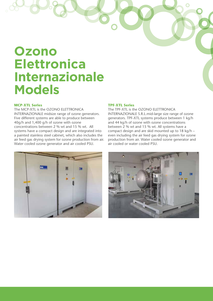# **Ozono Elettronica Internazionale Models**

### **MCP-XTL Series**

The MCP-XTL is the OZONO ELETTRONICA INTERNAZIONALE midsize range of ozone generators. Five different systems are able to produce between 40g/h and 1,400 g/h of ozone with ozone concentrations between 2 % wt and 15 % wt. All systems have a compact design and are integrated into a painted stainless steel cabinet, which also includes the air feed gas drying system for ozone production from air. Water cooled ozone generator and air cooled PSU.

# **TPF-XTL Series**

The TPF-XTL is the OZONO ELETTRONICA INTERNAZIONALE S.R.L.mid-large size range of ozone generators. TPF-XTL systems produce between 1 kg/h and 44 kg/h of ozone with ozone concentrations between 2 % wt and 15 % wt. All systems have a compact design and are skid mounted up to 18 kg/h – even including the air feed gas drying system for ozone production from air. Water cooled ozone generator and air cooled or water cooled PSU.



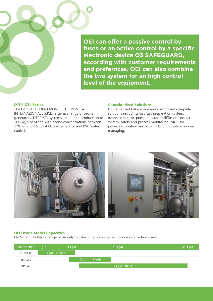**OEI can offer a passive control by fuses or an active control by a specific electronic device O3 SAFEGUARD, according with customer requirements and prefernces. OEI can also combine the two system for an high control level of the equipment.**

# **DTPF-XTL Series**

The DTPF-XTL is the OZONO ELETTRONICA INTERNAZIONALE S.R.L. large size range of ozone generators. DTPF-XTL systems are able to produce up to 100 kg/h of ozone with ozone concentrations between 2 % wt and 15 % wt.Ozone generator and PSU water cooled.

#### **Containerized Solutions**

Containerized tailor made and customized complete solutions including feed gas preparation system, ozone generator, pump-injector or diffusion contact system, safety and process monitoring, MCC for power distribution and Main PLC for complete process managing.



# **OEI Ozone Model Capacities**

De Nora OEI offers a range of models to cater for a wide range of ozone disinfection needs

| Model Name $\vert$ 1 g/h |                | $1$ kg/h |                  | 50 kg/h           | $100$ kg/h |
|--------------------------|----------------|----------|------------------|-------------------|------------|
| MCP-XTL                  | 1g/h - 1,4kg/h |          |                  |                   |            |
| TPF-XTL                  |                |          | 1 kg/h - 44 kg/h |                   |            |
| DTPF-XTL                 |                |          |                  | 9 kg/h - 100 kg/h |            |